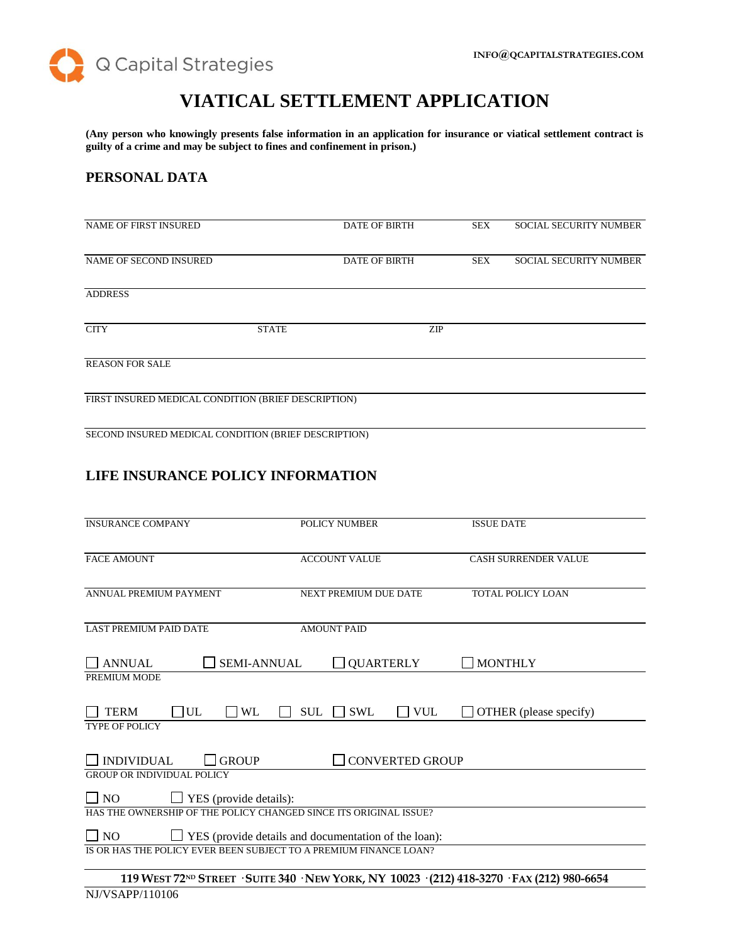

# **VIATICAL SETTLEMENT APPLICATION**

**(Any person who knowingly presents false information in an application for insurance or viatical settlement contract is guilty of a crime and may be subject to fines and confinement in prison.)**

# **PERSONAL DATA**

| NAME OF FIRST INSURED                               |              | <b>DATE OF BIRTH</b> |     | <b>SEX</b> | <b>SOCIAL SECURITY NUMBER</b> |
|-----------------------------------------------------|--------------|----------------------|-----|------------|-------------------------------|
| NAME OF SECOND INSURED                              |              | <b>DATE OF BIRTH</b> |     | <b>SEX</b> | <b>SOCIAL SECURITY NUMBER</b> |
| <b>ADDRESS</b>                                      |              |                      |     |            |                               |
| <b>CITY</b>                                         | <b>STATE</b> |                      | ZIP |            |                               |
| <b>REASON FOR SALE</b>                              |              |                      |     |            |                               |
| FIRST INSURED MEDICAL CONDITION (BRIEF DESCRIPTION) |              |                      |     |            |                               |

SECOND INSURED MEDICAL CONDITION (BRIEF DESCRIPTION)

# **LIFE INSURANCE POLICY INFORMATION**

| <b>INSURANCE COMPANY</b>                                                 | <b>POLICY NUMBER</b>                                                                                    | <b>ISSUE DATE</b>           |  |
|--------------------------------------------------------------------------|---------------------------------------------------------------------------------------------------------|-----------------------------|--|
| <b>FACE AMOUNT</b>                                                       | <b>ACCOUNT VALUE</b>                                                                                    | <b>CASH SURRENDER VALUE</b> |  |
| ANNUAL PREMIUM PAYMENT                                                   | NEXT PREMIUM DUE DATE                                                                                   | <b>TOTAL POLICY LOAN</b>    |  |
| <b>LAST PREMIUM PAID DATE</b>                                            | <b>AMOUNT PAID</b>                                                                                      |                             |  |
| <b>SEMI-ANNUAL</b><br><b>ANNUAL</b>                                      | <b>QUARTERLY</b>                                                                                        | <b>MONTHLY</b>              |  |
| PREMIUM MODE                                                             |                                                                                                         |                             |  |
| UL<br><b>TERM</b><br><b>WL</b><br><b>TYPE OF POLICY</b>                  | <b>VUL</b><br><b>SUL</b><br><b>SWL</b><br>l 1                                                           | OTHER (please specify)      |  |
| <b>INDIVIDUAL</b><br><b>GROUP</b><br><b>GROUP OR INDIVIDUAL POLICY</b>   | <b>CONVERTED GROUP</b>                                                                                  |                             |  |
| $\Box$ NO<br>$\Box$ YES (provide details):                               |                                                                                                         |                             |  |
| HAS THE OWNERSHIP OF THE POLICY CHANGED SINCE ITS ORIGINAL ISSUE?        |                                                                                                         |                             |  |
| $\Box$ NO<br>$\Box$ YES (provide details and documentation of the loan): |                                                                                                         |                             |  |
| IS OR HAS THE POLICY EVER BEEN SUBJECT TO A PREMIUM FINANCE LOAN?        |                                                                                                         |                             |  |
|                                                                          | 119 WEST 72 <sup>ND</sup> STREET · SUITE 340 · NEW YORK, NY 10023 · (212) 418-3270 · FAX (212) 980-6654 |                             |  |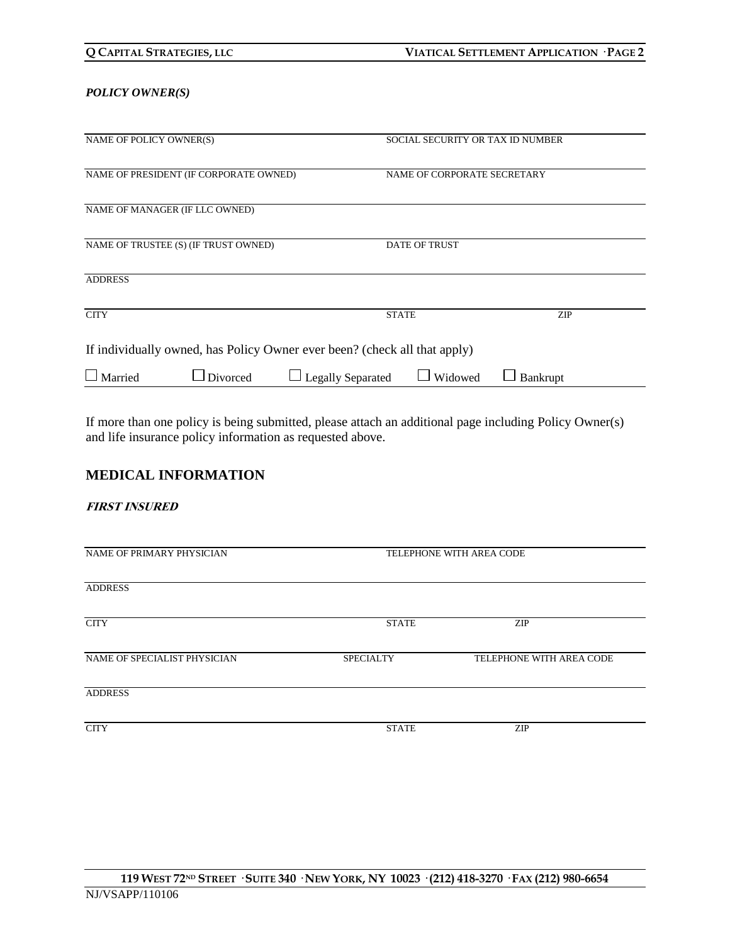| Q CAPITAL STRATEGIES, LLC |
|---------------------------|
|---------------------------|

### *POLICY OWNER(S)*

| NAME OF POLICY OWNER(S)                                                   | SOCIAL SECURITY OR TAX ID NUMBER    |            |  |
|---------------------------------------------------------------------------|-------------------------------------|------------|--|
| NAME OF PRESIDENT (IF CORPORATE OWNED)                                    | NAME OF CORPORATE SECRETARY         |            |  |
| NAME OF MANAGER (IF LLC OWNED)                                            |                                     |            |  |
| NAME OF TRUSTEE (S) (IF TRUST OWNED)                                      | <b>DATE OF TRUST</b>                |            |  |
| <b>ADDRESS</b>                                                            |                                     |            |  |
| <b>CITY</b>                                                               | <b>STATE</b>                        | <b>ZIP</b> |  |
| If individually owned, has Policy Owner ever been? (check all that apply) |                                     |            |  |
| $\Box$ Married<br>$\Box$ Divorced                                         | <b>Legally Separated</b><br>Widowed | Bankrupt   |  |

If more than one policy is being submitted, please attach an additional page including Policy Owner(s) and life insurance policy information as requested above.

# **MEDICAL INFORMATION**

## **FIRST INSURED**

| NAME OF PRIMARY PHYSICIAN    | TELEPHONE WITH AREA CODE |                          |  |
|------------------------------|--------------------------|--------------------------|--|
| <b>ADDRESS</b>               |                          |                          |  |
| <b>CITY</b>                  | <b>STATE</b>             | <b>ZIP</b>               |  |
| NAME OF SPECIALIST PHYSICIAN | <b>SPECIALTY</b>         | TELEPHONE WITH AREA CODE |  |
| <b>ADDRESS</b>               |                          |                          |  |
| <b>CITY</b>                  | <b>STATE</b>             | ZIP                      |  |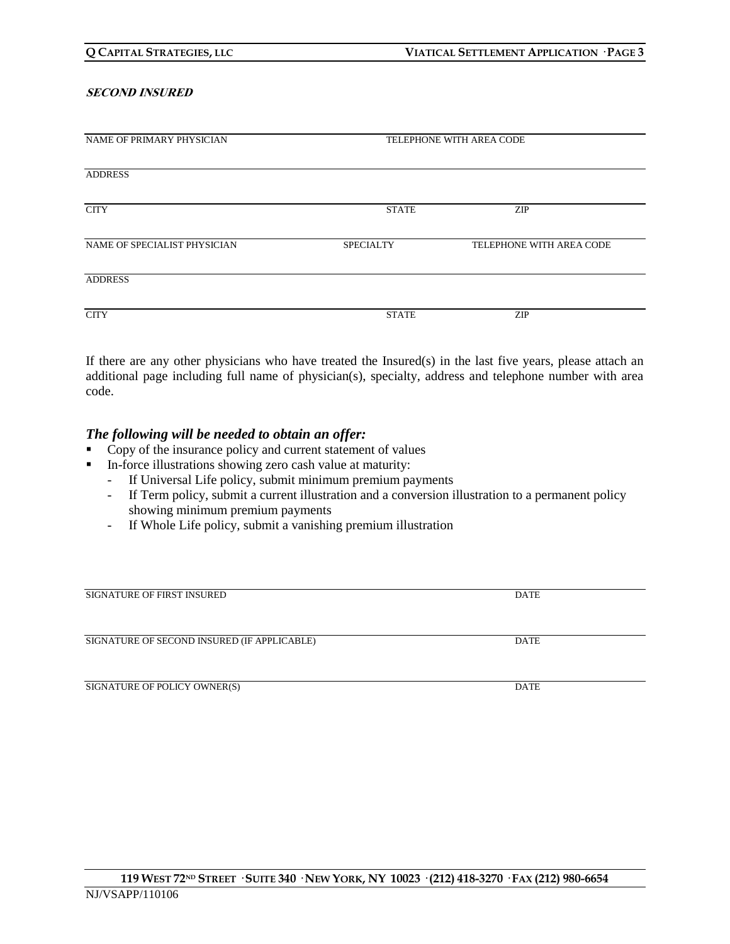#### **SECOND INSURED**

| NAME OF PRIMARY PHYSICIAN    | TELEPHONE WITH AREA CODE |                          |  |
|------------------------------|--------------------------|--------------------------|--|
|                              |                          |                          |  |
| <b>ADDRESS</b>               |                          |                          |  |
|                              |                          |                          |  |
| <b>CITY</b>                  | <b>STATE</b>             | <b>ZIP</b>               |  |
|                              |                          |                          |  |
| NAME OF SPECIALIST PHYSICIAN | <b>SPECIALTY</b>         | TELEPHONE WITH AREA CODE |  |
|                              |                          |                          |  |
| <b>ADDRESS</b>               |                          |                          |  |
|                              |                          |                          |  |
| <b>CITY</b>                  | <b>STATE</b>             | <b>ZIP</b>               |  |

If there are any other physicians who have treated the Insured(s) in the last five years, please attach an additional page including full name of physician(s), specialty, address and telephone number with area code.

## *The following will be needed to obtain an offer:*

- Copy of the insurance policy and current statement of values
- In-force illustrations showing zero cash value at maturity:
	- If Universal Life policy, submit minimum premium payments
	- If Term policy, submit a current illustration and a conversion illustration to a permanent policy showing minimum premium payments
	- If Whole Life policy, submit a vanishing premium illustration

| <b>SIGNATURE OF FIRST INSURED</b>           | <b>DATE</b> |
|---------------------------------------------|-------------|
|                                             |             |
|                                             |             |
| SIGNATURE OF SECOND INSURED (IF APPLICABLE) | <b>DATE</b> |
|                                             |             |
|                                             |             |
| SIGNATURE OF POLICY OWNER(S)                | <b>DATE</b> |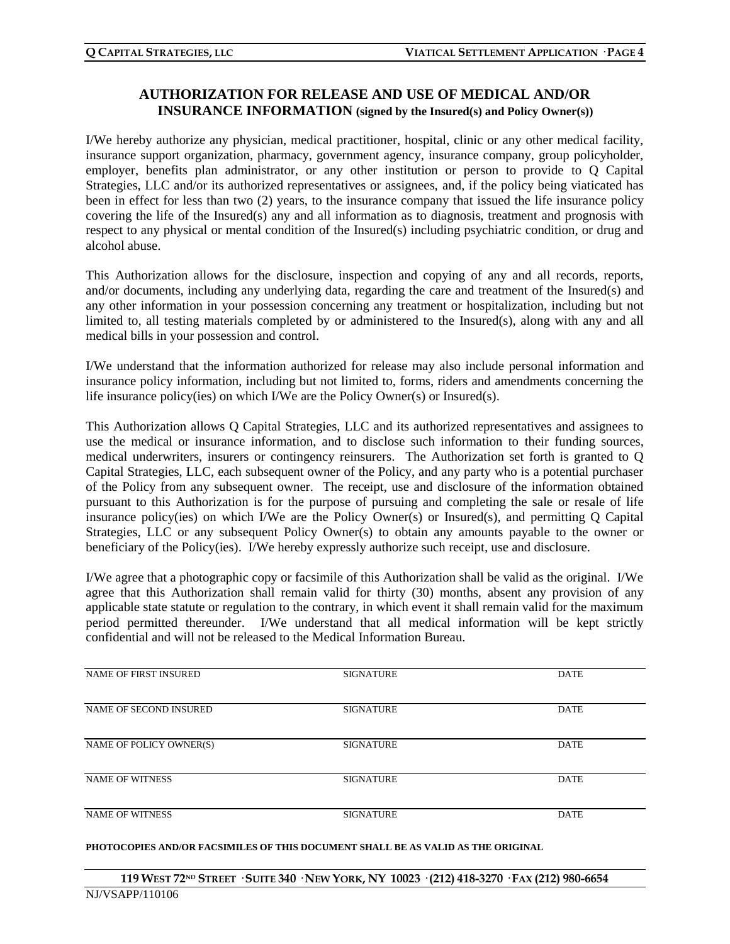# **AUTHORIZATION FOR RELEASE AND USE OF MEDICAL AND/OR INSURANCE INFORMATION (signed by the Insured(s) and Policy Owner(s))**

I/We hereby authorize any physician, medical practitioner, hospital, clinic or any other medical facility, insurance support organization, pharmacy, government agency, insurance company, group policyholder, employer, benefits plan administrator, or any other institution or person to provide to Q Capital Strategies, LLC and/or its authorized representatives or assignees, and, if the policy being viaticated has been in effect for less than two (2) years, to the insurance company that issued the life insurance policy covering the life of the Insured(s) any and all information as to diagnosis, treatment and prognosis with respect to any physical or mental condition of the Insured(s) including psychiatric condition, or drug and alcohol abuse.

This Authorization allows for the disclosure, inspection and copying of any and all records, reports, and/or documents, including any underlying data, regarding the care and treatment of the Insured(s) and any other information in your possession concerning any treatment or hospitalization, including but not limited to, all testing materials completed by or administered to the Insured(s), along with any and all medical bills in your possession and control.

I/We understand that the information authorized for release may also include personal information and insurance policy information, including but not limited to, forms, riders and amendments concerning the life insurance policy(ies) on which I/We are the Policy Owner(s) or Insured(s).

This Authorization allows Q Capital Strategies, LLC and its authorized representatives and assignees to use the medical or insurance information, and to disclose such information to their funding sources, medical underwriters, insurers or contingency reinsurers. The Authorization set forth is granted to Q Capital Strategies, LLC, each subsequent owner of the Policy, and any party who is a potential purchaser of the Policy from any subsequent owner. The receipt, use and disclosure of the information obtained pursuant to this Authorization is for the purpose of pursuing and completing the sale or resale of life insurance policy(ies) on which I/We are the Policy Owner(s) or Insured(s), and permitting Q Capital Strategies, LLC or any subsequent Policy Owner(s) to obtain any amounts payable to the owner or beneficiary of the Policy(ies). I/We hereby expressly authorize such receipt, use and disclosure.

I/We agree that a photographic copy or facsimile of this Authorization shall be valid as the original. I/We agree that this Authorization shall remain valid for thirty (30) months, absent any provision of any applicable state statute or regulation to the contrary, in which event it shall remain valid for the maximum period permitted thereunder. I/We understand that all medical information will be kept strictly confidential and will not be released to the Medical Information Bureau.

| NAME OF FIRST INSURED   | <b>SIGNATURE</b> | <b>DATE</b> |
|-------------------------|------------------|-------------|
| NAME OF SECOND INSURED  | <b>SIGNATURE</b> | <b>DATE</b> |
| NAME OF POLICY OWNER(S) | <b>SIGNATURE</b> | <b>DATE</b> |
| <b>NAME OF WITNESS</b>  | <b>SIGNATURE</b> | <b>DATE</b> |
| <b>NAME OF WITNESS</b>  | <b>SIGNATURE</b> | <b>DATE</b> |

#### **PHOTOCOPIES AND/OR FACSIMILES OF THIS DOCUMENT SHALL BE AS VALID AS THE ORIGINAL**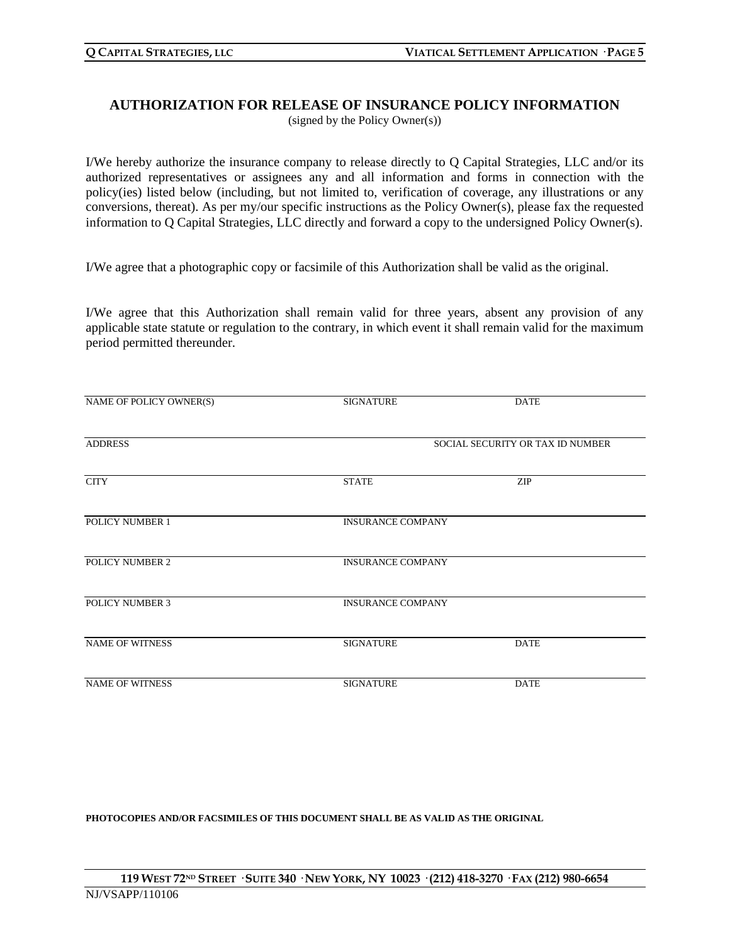## **AUTHORIZATION FOR RELEASE OF INSURANCE POLICY INFORMATION** (signed by the Policy Owner(s))

I/We hereby authorize the insurance company to release directly to Q Capital Strategies, LLC and/or its authorized representatives or assignees any and all information and forms in connection with the policy(ies) listed below (including, but not limited to, verification of coverage, any illustrations or any conversions, thereat). As per my/our specific instructions as the Policy Owner(s), please fax the requested information to Q Capital Strategies, LLC directly and forward a copy to the undersigned Policy Owner(s).

I/We agree that a photographic copy or facsimile of this Authorization shall be valid as the original.

I/We agree that this Authorization shall remain valid for three years, absent any provision of any applicable state statute or regulation to the contrary, in which event it shall remain valid for the maximum period permitted thereunder.

| NAME OF POLICY OWNER(S) | <b>SIGNATURE</b>                 | <b>DATE</b> |  |
|-------------------------|----------------------------------|-------------|--|
| <b>ADDRESS</b>          | SOCIAL SECURITY OR TAX ID NUMBER |             |  |
| <b>CITY</b>             | <b>STATE</b>                     | <b>ZIP</b>  |  |
| POLICY NUMBER 1         | <b>INSURANCE COMPANY</b>         |             |  |
| POLICY NUMBER 2         | <b>INSURANCE COMPANY</b>         |             |  |
| <b>POLICY NUMBER 3</b>  | <b>INSURANCE COMPANY</b>         |             |  |
| <b>NAME OF WITNESS</b>  | <b>SIGNATURE</b>                 | <b>DATE</b> |  |
| <b>NAME OF WITNESS</b>  | <b>SIGNATURE</b>                 | <b>DATE</b> |  |

**PHOTOCOPIES AND/OR FACSIMILES OF THIS DOCUMENT SHALL BE AS VALID AS THE ORIGINAL**